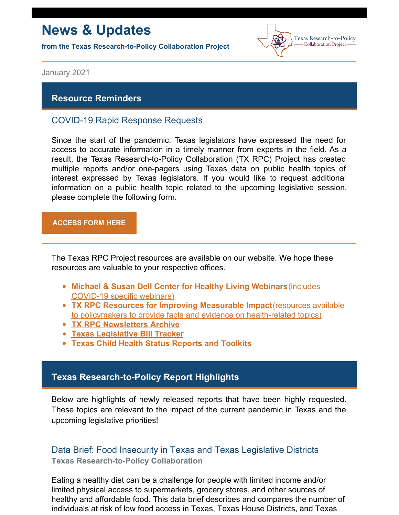# **News & Updates**

**from the Texas Research-to-Policy Collaboration Project**



January 2021

#### **Resource Reminders**

### COVID-19 Rapid Response Requests

Since the start of the pandemic, Texas legislators have expressed the need for access to accurate information in a timely manner from experts in the field. As a result, the Texas Research-to-Policy Collaboration (TX RPC) Project has created multiple reports and/or one-pagers using Texas data on public health topics of interest expressed by Texas legislators. If you would like to request additional information on a public health topic related to the upcoming legislative session, please complete the following form.

#### **[ACCESS](https://docs.google.com/forms/u/2/d/1Wugxw_5Z2snWP5rEmX4N88dLKRnqrsAPYug_bCWMdCo/viewform?edit_requested=true) FORM HERE**

The Texas RPC Project resources are available on our website. We hope these resources are valuable to your respective offices.

- **Michael & Susan Dell Center for Healthy Living [Webinars](https://sph.uth.edu/research/centers/dell/webinars/)**(includes [COVID-19](https://sph.uth.edu/research/centers/dell/webinars/) specific webinars)
- **TX RPC Resources for Improving [Measurable](https://sph.uth.edu/research/centers/dell/legislative-initiatives/texas-rpc-resources) Impact**(resources available to policymakers to provide facts and evidence on [health-related](https://sph.uth.edu/research/centers/dell/legislative-initiatives/texas-rpc-resources) topics)
- **TX RPC [Newsletters](https://sph.uth.edu/research/centers/dell/legislative-initiatives/rpc-newsletters) Archive**
- **Texas [Legislative](https://sph.uth.edu/research/centers/dell/87th-texas-legislative-session/index.htm) Bill Tracker**
- **Texas Child Health Status [Reports](https://sph.uth.edu/research/centers/dell/texas-child-health-status-report/index.htm) and Toolkits**

### **Texas Research-to-Policy Report Highlights**

Below are highlights of newly released reports that have been highly requested. These topics are relevant to the impact of the current pandemic in Texas and the upcoming legislative priorities!

# Data Brief: Food Insecurity in Texas and Texas Legislative Districts **Texas Research-to-Policy Collaboration**

Eating a healthy diet can be a challenge for people with limited income and/or limited physical access to supermarkets, grocery stores, and other sources of healthy and affordable food. This data brief describes and compares the number of individuals at risk of low food access in Texas, Texas House Districts, and Texas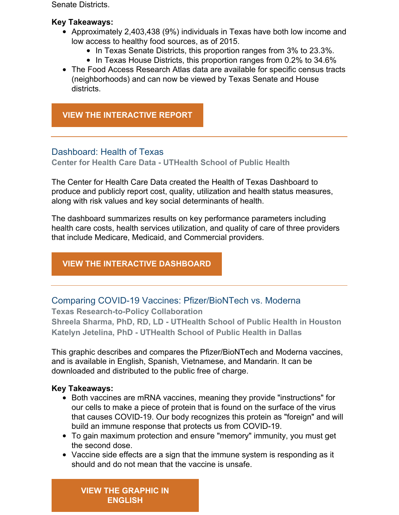Senate Districts.

#### **Key Takeaways:**

- Approximately 2,403,438 (9%) individuals in Texas have both low income and low access to healthy food sources, as of 2015.
	- In Texas Senate Districts, this proportion ranges from 3% to 23.3%.
	- In Texas House Districts, this proportion ranges from 0.2% to 34.6%
- The Food Access Research Atlas data are available for specific census tracts (neighborhoods) and can now be viewed by Texas Senate and House districts.

# **VIEW THE [INTERACTIVE](https://sph.uth.edu/research/centers/dell/legislative-initiatives/data-brief-food-insecurity-in-texas-and-texas-legislative-districts) REPORT**

## Dashboard: Health of Texas

**Center for Health Care Data - UTHealth School of Public Health**

The Center for Health Care Data created the Health of Texas Dashboard to produce and publicly report cost, quality, utilization and health status measures, along with risk values and key social determinants of health.

The dashboard summarizes results on key performance parameters including health care costs, health services utilization, and quality of care of three providers that include Medicare, Medicaid, and Commercial providers.

# **VIEW THE [INTERACTIVE](https://sph.uth.edu/research/centers/chcd/health-of-texas/) DASHBOARD**

Comparing COVID-19 Vaccines: Pfizer/BioNTech vs. Moderna

**Texas Research-to-Policy Collaboration Shreela Sharma, PhD, RD, LD - UTHealth School of Public Health in Houston Katelyn Jetelina, PhD - UTHealth School of Public Health in Dallas**

This graphic describes and compares the Pfizer/BioNTech and Moderna vaccines, and is available in English, Spanish, Vietnamese, and Mandarin. It can be downloaded and distributed to the public free of charge.

#### **Key Takeaways:**

- Both vaccines are mRNA vaccines, meaning they provide "instructions" for our cells to make a piece of protein that is found on the surface of the virus that causes COVID-19. Our body recognizes this protein as "foreign" and will build an immune response that protects us from COVID-19.
- To gain maximum protection and ensure "memory" immunity, you must get the second dose.
- Vaccine side effects are a sign that the immune system is responding as it should and do not mean that the vaccine is unsafe.

**VIEW THE [GRAPHIC](https://sph.uth.edu/research/centers/dell/legislative-initiatives/Pfizer+BioNTech+vs.+Moderna.pdf?language_id=1) IN ENGLISH**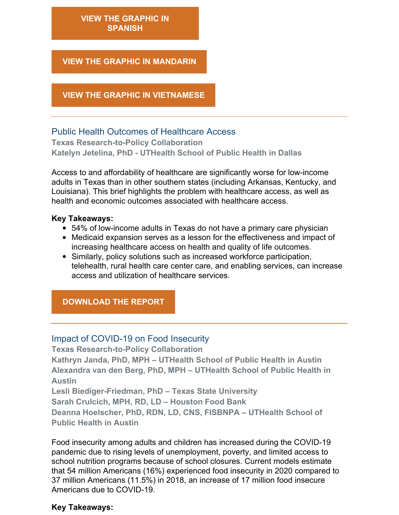## **VIEW THE [GRAPHIC](https://sph.uth.edu/research/centers/dell/legislative-initiatives/Pfizer+BioNTech+vs.+Moderna+FINAL_SP.pdf?language_id=1) IN SPANISH**

#### **VIEW THE GRAPHIC IN [MANDARIN](https://sph.uth.edu/research/centers/dell/legislative-initiatives/PfizervsModerna+Mandarin.png?language_id=1)**

#### **VIEW THE GRAPHIC IN [VIETNAMESE](https://sph.uth.edu/research/centers/dell/legislative-initiatives/PfizervsModerna+Vietnamese.png?language_id=1)**

## Public Health Outcomes of Healthcare Access

**Texas Research-to-Policy Collaboration Katelyn Jetelina, PhD - UTHealth School of Public Health in Dallas**

Access to and affordability of healthcare are significantly worse for low-income adults in Texas than in other southern states (including Arkansas, Kentucky, and Louisiana). This brief highlights the problem with healthcare access, as well as health and economic outcomes associated with healthcare access.

#### **Key Takeaways:**

- 54% of low-income adults in Texas do not have a primary care physician
- Medicaid expansion serves as a lesson for the effectiveness and impact of increasing healthcare access on health and quality of life outcomes.
- Similarly, policy solutions such as increased workforce participation, telehealth, rural health care center care, and enabling services, can increase access and utilization of healthcare services.

# **[DOWNLOAD](https://sph.uth.edu/research/centers/dell/legislative-initiatives/Healthcare Access Overview.pdf) THE REPORT**

#### Impact of COVID-19 on Food Insecurity

**Texas Research-to-Policy Collaboration Kathryn Janda, PhD, MPH – UTHealth School of Public Health in Austin Alexandra van den Berg, PhD, MPH – UTHealth School of Public Health in Austin Lesli Biediger-Friedman, PhD – Texas State University**

**Sarah Crulcich, MPH, RD, LD – Houston Food Bank**

**Deanna Hoelscher, PhD, RDN, LD, CNS, FISBNPA – UTHealth School of Public Health in Austin**

Food insecurity among adults and children has increased during the COVID-19 pandemic due to rising levels of unemployment, poverty, and limited access to school nutrition programs because of school closures. Current models estimate that 54 million Americans (16%) experienced food insecurity in 2020 compared to 37 million Americans (11.5%) in 2018, an increase of 17 million food insecure Americans due to COVID-19.

#### **Key Takeaways:**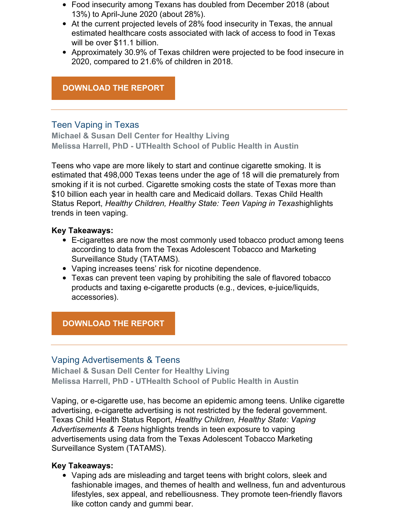- Food insecurity among Texans has doubled from December 2018 (about 13%) to April-June 2020 (about 28%).
- At the current projected levels of 28% food insecurity in Texas, the annual estimated healthcare costs associated with lack of access to food in Texas will be over \$11.1 billion.
- Approximately 30.9% of Texas children were projected to be food insecure in 2020, compared to 21.6% of children in 2018.

### **[DOWNLOAD](https://sph.uth.edu/research/centers/dell/legislative-initiatives/COVID-19 and FI_12.3.20.pdf) THE REPORT**

# Teen Vaping in Texas

**Michael & Susan Dell Center for Healthy Living Melissa Harrell, PhD - UTHealth School of Public Health in Austin**

Teens who vape are more likely to start and continue cigarette smoking. It is estimated that 498,000 Texas teens under the age of 18 will die prematurely from smoking if it is not curbed. Cigarette smoking costs the state of Texas more than \$10 billion each year in health care and Medicaid dollars. Texas Child Health Status Report, *Healthy Children, Healthy State: Teen Vaping in Texas*highlights trends in teen vaping.

#### **Key Takeaways:**

- E-cigarettes are now the most commonly used tobacco product among teens according to data from the Texas Adolescent Tobacco and Marketing [Surveillance](https://sph.uth.edu/research/centers/dell/project.htm?project=eba3915a-f124-4b88-a045-a35b1f07a730) Study (TATAMS).
- Vaping increases teens' risk for nicotine dependence.
- Texas can prevent teen vaping by prohibiting the sale of flavored tobacco products and taxing e-cigarette products (e.g., devices, e-juice/liquids, accessories).

#### **[DOWNLOAD](https://sph.uth.edu/research/centers/dell/resources/teen vaping in texas 12.15.20.pdf) THE REPORT**

#### Vaping Advertisements & Teens

**Michael & Susan Dell Center for Healthy Living Melissa Harrell, PhD - UTHealth School of Public Health in Austin**

Vaping, or e-cigarette use, has become an epidemic among teens. Unlike cigarette advertising, e-cigarette advertising is not restricted by the federal government. Texas Child Health Status Report, *Healthy Children, Healthy State: Vaping Advertisements & Teens* highlights trends in teen exposure to vaping advertisements using data from the Texas Adolescent Tobacco Marketing Surveillance System (TATAMS).

#### **Key Takeaways:**

Vaping ads are misleading and target teens with bright colors, sleek and fashionable images, and themes of health and wellness, fun and adventurous lifestyles, sex appeal, and rebelliousness. They promote teen-friendly flavors like cotton candy and gummi bear.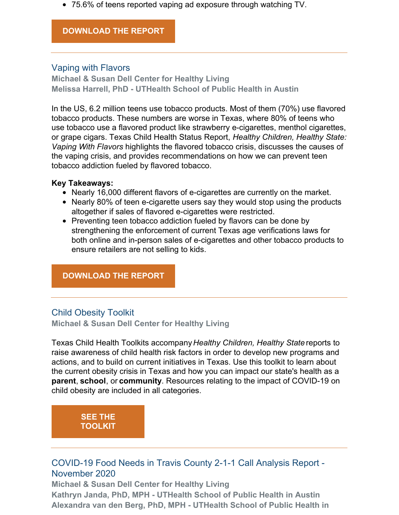75.6% of teens reported vaping ad exposure through watching TV.

#### **[DOWNLOAD](https://sph.uth.edu/research/centers/dell/resources/vaping marketing.pdf) THE REPORT**

# Vaping with Flavors

**Michael & Susan Dell Center for Healthy Living Melissa Harrell, PhD - UTHealth School of Public Health in Austin**

In the US, 6.2 million teens use tobacco products. Most of them (70%) use flavored tobacco products. These numbers are worse in Texas, where 80% of teens who use tobacco use a flavored product like strawberry e-cigarettes, menthol cigarettes, or grape cigars. Texas Child Health Status Report, *Healthy Children, Healthy State: Vaping With Flavors* highlights the flavored tobacco crisis, discusses the causes of the vaping crisis, and provides recommendations on how we can prevent teen tobacco addiction fueled by flavored tobacco.

#### **Key Takeaways:**

- Nearly 16,000 different flavors of e-cigarettes are currently on the market.
- Nearly 80% of teen e-cigarette users say they would stop using the products altogether if sales of flavored e-cigarettes were restricted.
- Preventing teen tobacco addiction fueled by flavors can be done by strengthening the enforcement of current Texas age verifications laws for both online and in-person sales of e-cigarettes and other tobacco products to ensure retailers are not selling to kids.

# **[DOWNLOAD](https://sph.uth.edu/research/centers/dell/resources/vaping flavors.pdf) THE REPORT**

# Child Obesity Toolkit

**Michael & Susan Dell Center for Healthy Living**

Texas Child Health Toolkits accompany*Healthy Children, Healthy State* reports to raise awareness of child health risk factors in order to develop new programs and actions, and to build on current initiatives in Texas. Use this toolkit to learn about the current obesity crisis in Texas and how you can impact our state's health as a **[parent](https://sph.uth.edu/research/centers/dell/child-health-toolkits/child-obesity-toolkit#Parent)**, **[school](https://sph.uth.edu/research/centers/dell/child-health-toolkits/child-obesity-toolkit#School)**, or **[community](https://sph.uth.edu/research/centers/dell/child-health-toolkits/child-obesity-toolkit#Community)**. Resources relating to the impact of COVID-19 on child obesity are included in all categories.

# **SEE THE [TOOLKIT](https://sph.uth.edu/research/centers/dell/child-health-toolkits/child-obesity-toolkit)**

# COVID-19 Food Needs in Travis County 2-1-1 Call Analysis Report - November 2020

**Michael & Susan Dell Center for Healthy Living Kathryn Janda, PhD, MPH - UTHealth School of Public Health in Austin Alexandra van den Berg, PhD, MPH - UTHealth School of Public Health in**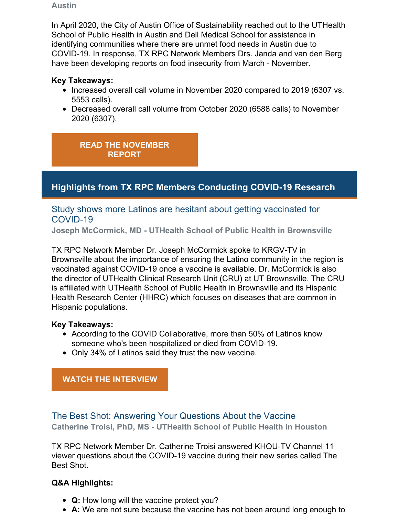#### **Austin**

In April 2020, the City of Austin Office of Sustainability reached out to the UTHealth School of Public Health in Austin and Dell Medical School for assistance in identifying communities where there are unmet food needs in Austin due to COVID-19. In response, TX RPC Network Members Drs. Janda and van den Berg have been developing reports on food insecurity from March - November.

## **Key Takeaways:**

- Increased overall call volume in November 2020 compared to 2019 (6307 vs. 5553 calls).
- Decreased overall call volume from October 2020 (6588 calls) to November 2020 (6307).

**READ THE [NOVEMBER](https://sph.uth.edu/research/centers/dell/resources/november 2-1-1 food needs report.pdf) REPORT**

# **Highlights from TX RPC Members Conducting COVID-19 Research**

# Study shows more Latinos are hesitant about getting vaccinated for COVID-19

**Joseph McCormick, MD - UTHealth School of Public Health in Brownsville**

TX RPC Network Member Dr. Joseph McCormick spoke to KRGV-TV in Brownsvill[e](https://urldefense.proofpoint.com/v2/url?u=http-3A__r20.rs6.net_tn.jsp-3Ff-3D001v-5F3kEt1eK4UjZ-2DwAL7sYZ3om9lYP8KHBofN2U5Q-5Ftu5cyg6agjkGAKC1l3VRkhu34gQYZhQJc19FdoaNTr5i-5Fr2PgQDP7ZvwWPXfTqOGvwaWzjtc0-2DZC7sfprNQLdNszIZZTHdxF-5FN7e-2DItxr9L-2DC5S2YlWDdOD-2D-2DZi8RKayTPYS-2Di5qUqCZTrhhv9js4kNIp2ZCWbx8l-2DwFdab4RNnK5vmEBrTBvpeaxqT3rhatgVTGy0izAoEA3PJ9X5DtiFECqy-2DG37ObWV7PoHQ8-2DjTFMZjyWhplMb0-5F7POv0H87QgVG2q441xJImMWftFjJNUEXhiI3-5FH5y9IM6HYE9ts9Uh77WmTnExlsuGW1vsja-2DHIfB1YggkjjXoaQtM0CFSKzh6FPttpDakkkEEpqrWz2v12msbpFLXusyZ7GjzzpkQe4rZQfXdXHWN-2DjX1Osz-2D72HkynG8ZPQAdxyB9XtyE7CqD2z8w5Z1UOqmKvYpKxqg3kLyQN5CyI-2DIXxZdJIAKt4xON3dagLhj2ZRXLOJ7e0-5FNOjiui5fdyYtpe6-2DHiz8-5Fe59ZO57kMt7LAoTIgGljsKoksd9nio-2DWBepV5IHno3cYXfLPPpLss2PylBSCJdoZEhTLg6oC7CdlJDMRaYR03pzd5pSywwQZvwS1rw14tSDC4w8x95bK3THyf5kLHzsgyFPcdTs-5FdnApOJBcTb7sSDWru0Ok8sJs7RtzG-5FSfySGO4Th3tOBlW1A06J9fILQAKuCLqyPOa7AuXsomDPLSFVbe4L6kN1ebtbnhksRUVXpRgG4VrYEy79r1UucJs8tdAppbPVlK6zeIdqcJ-5FY1WukWG2OzaHWqxg7zx5OtKjLrK59vPDqDmSxCjDRccJV6onGq2Pt6nj8mIqLvihPrETs9dShu07bKXfUTfgZp6aEZhEhjkN4khI-2DCj5lRxGZS8rjjSSaHjDcut-5FA5xDW3e8uO2BbB-2D8DBv4vmlGmHaMWa0L2BIoJBBiyEJfA9zW-2DNsx9WueVlx7-2DCvW8-5FC-5FUSQJBwdVg-5FtSQTjJcmdAwQIxXh9bCJqh6ZZHEo2jIUfGgwmgKHj4ntXUeGEg-3D-3D-26c-3DeNvxSCsWxbQ-2DtynQ-2DYgD8fD-2DYuDelVMm52RCSO03cTp-5Fmu2mAiyxRw-3D-3D-26ch-3D9rMeqr0mSJwuNKdeCpDo1Dgg4sBkD4FEPiIoTJX2eb3hMswRUUhsnA-3D-3D&d=DwMFaQ&c=bKRySV-ouEg_AT-w2QWsTdd9X__KYh9Eq2fdmQDVZgw&r=ROMj_R-atPDkwwwTpWeSYpZBsJSIlidjFAN5K7R8isY&m=BcRJ997NRqsT9aFSJMehsH8y_3vCHb4iXdysD0zynXw&s=fmw7Lj-glGj8ZzAwk7f-eTnJyqw08ubQGJrV6RA-hp8&e=) about the importance of ensuring the Latino community in the region is vaccinated against COVID-19 once a vaccine is available. Dr. McCormick is also the director of UTHealth Clinical Research Unit (CRU) at UT Brownsville. The CRU is affiliated with UTHealth School of Public Health in Brownsville and its Hispanic Health Research Center (HHRC) which focuses on diseases that are common in Hispanic populations.

#### **Key Takeaways:**

- According to the COVID Collaborative, more than 50% of Latinos know someone who's been hospitalized or died from COVID-19.
- Only 34% of Latinos said they trust the new vaccine.

# **WATCH THE [INTERVIEW](https://www.krgv.com/news/study-shows-more-latinos-are-hesitate-about-getting-vaccinated-for-covid-19)**

The Best Shot: Answering Your Questions About the Vaccine **Catherine Troisi, PhD, MS - UTHealth School of Public Health in Houston**

TX RPC Network Member Dr. Catherine Troisi answered KHOU-TV Channel 11 viewer questions about the COVID-19 vaccine during their new series called The Best Shot.

#### **Q&A Highlights:**

- **Q:** How long will the vaccine protect you?
- **A:** We are not sure because the vaccine has not been around long enough to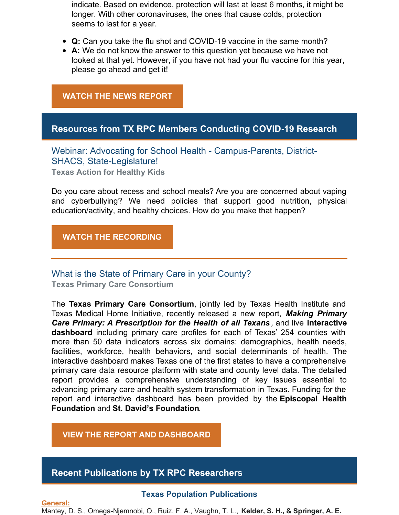indicate. Based on evidence, protection will last at least 6 months, it might be longer. With other coronaviruses, the ones that cause colds, protection seems to last for a year.

- **Q:** Can you take the flu shot and COVID-19 vaccine in the same month?
- **A:** We do not know the answer to this question yet because we have not looked at that yet. However, if you have not had your flu vaccine for this year, please go ahead and get it!

#### **WATCH THE NEWS [REPORT](https://www.iqmediacorp.com/ClipPlayer?ClipID=b761ed34-5bf4-49de-998f-0c1a7e6a6dab&TE=%7B0%7D)**

#### **Resources from TX RPC Members Conducting COVID-19 Research**

Webinar: Advocating for School Health - Campus-Parents, District-SHACS, State-Legislature! **Texas Action for Healthy Kids**

Do you care about recess and school meals? Are you are concerned about vaping and cyberbullying? We need policies that support good nutrition, physical education/activity, and healthy choices. How do you make that happen?

**WATCH THE [RECORDING](https://www.youtube.com/watch?v=Ka5OxHwmCvw)**

# What is the State of Primary Care in your County?

**Texas Primary Care Consortium**

The **Texas Primary Care [Consortium](https://urldefense.proofpoint.com/v2/url?u=http-3A__r20.rs6.net_tn.jsp-3Ff-3D001GMrmsSyiBkseP6bxtFdGLztajBlD-5FDfBJVi7TBQz5aXvfppwEpYDeu81vKO6dF6aJrBDhpdUcSWRJleYeLeZu5fbZCE-5F-2DN1E1K-5FEuoToiZTaNbBJ8E2B8diVtwBGvdy3blLD9jG5rAxR3Wcui4gkkWGnMnq4xLCy0ITCXfks-5FiY-3D-26c-3Dh6qXXXgHHRswUZwxwNKXw2utxq-2Dk2WgZmbgk991c7zvablBA01wleA-3D-3D-26ch-3DLu0zctjS96d5xcqKHbNM3qUX38UIEI3zar0FnDJy-5FuXyT6kOf9AIbg-3D-3D&d=DwMFaQ&c=bKRySV-ouEg_AT-w2QWsTdd9X__KYh9Eq2fdmQDVZgw&r=0vVgvzcWBYKWXHSxbIAfUi-bKR0lHbURgOBUmyeinBQ&m=o9D_iG5ljvlfpweqbfj04moibgfe1pMXSDJzVL_UqCw&s=KGEkjzLjyNITyv6MHZNoJP6OkmDkcHdgC8bwar5FeDg&e=)**, jointly led by Texas H[ea](https://urldefense.proofpoint.com/v2/url?u=http-3A__r20.rs6.net_tn.jsp-3Ff-3D001GMrmsSyiBkseP6bxtFdGLztajBlD-5FDfBJVi7TBQz5aXvfppwEpYDejsPHp28QIngXjDL6e2pgP-5FLACKBL8z-5Fn-2DG4iYxsTBM3-2Dt5W2kqQJLH9Q8wX-2Dec-5FcJPlV323HcxM1874hI95vCKelwgtNk1g54hDuwFgL6L8mS9hDBL8AmAo-2D8nzrljhkQ-3D-3D-26c-3Dh6qXXXgHHRswUZwxwNKXw2utxq-2Dk2WgZmbgk991c7zvablBA01wleA-3D-3D-26ch-3DLu0zctjS96d5xcqKHbNM3qUX38UIEI3zar0FnDJy-5FuXyT6kOf9AIbg-3D-3D&d=DwMFaQ&c=bKRySV-ouEg_AT-w2QWsTdd9X__KYh9Eq2fdmQDVZgw&r=0vVgvzcWBYKWXHSxbIAfUi-bKR0lHbURgOBUmyeinBQ&m=o9D_iG5ljvlfpweqbfj04moibgfe1pMXSDJzVL_UqCw&s=peEUpwPQJTe8U7r-zd4HHR6eR6ZM1st8Jpxmc5fF684&e=)lth Institute and Texas Medical Home Initiative, recently released a new report, *Making Primary Care Primary: A [Prescription](https://urldefense.proofpoint.com/v2/url?u=http-3A__r20.rs6.net_tn.jsp-3Ff-3D001GMrmsSyiBkseP6bxtFdGLztajBlD-5FDfBJVi7TBQz5aXvfppwEpYDesrmngEn9KPNXral7-2DcglNXsUPfWDZtZR0XCIZIeEnQcq6YNCvm9kWJfEzka4f5bK10P6WdHwNVNo8iZ8riS0RF8Z0mQswAgkjp3EpGyUlVJRrO4Ry6NffWPTZ2Od5WKBQ-3D-3D-26c-3Dh6qXXXgHHRswUZwxwNKXw2utxq-2Dk2WgZmbgk991c7zvablBA01wleA-3D-3D-26ch-3DLu0zctjS96d5xcqKHbNM3qUX38UIEI3zar0FnDJy-5FuXyT6kOf9AIbg-3D-3D&d=DwMFaQ&c=bKRySV-ouEg_AT-w2QWsTdd9X__KYh9Eq2fdmQDVZgw&r=0vVgvzcWBYKWXHSxbIAfUi-bKR0lHbURgOBUmyeinBQ&m=o9D_iG5ljvlfpweqbfj04moibgfe1pMXSDJzVL_UqCw&s=uL3MgxjK8gzrWKdLG6ZbarujzPFVyG3ECoAHBYI6OUE&e=) for the Health of all Texans ,* and live **interactive dashboard** including primary care profiles for each of Texas' 254 counties with more than 50 data indicators across six domains: demographics, health needs, facilities, workforce, health behaviors, and social determinants of health. The interactive dashboard makes Texas one of the first states to have a comprehensive primary care data resource platform with state and county level data. The detailed report provides a comprehensive understanding of key issues essential to advancing primary care and health system transformation in Texas. Funding for the report and interactive dashboard has been provided by the **Episcopal Health [Foundation](https://urldefense.proofpoint.com/v2/url?u=http-3A__r20.rs6.net_tn.jsp-3Ff-3D001GMrmsSyiBkseP6bxtFdGLztajBlD-5FDfBJVi7TBQz5aXvfppwEpYDegvki60vbWhdVUyoiOYO-5FrO1MeuaH7GU7m-2DY8-5FMcDyBIIYM1bhdgzltEr7szGP1Y3c773eF75NIjr4SWNxQI5v1dHVCrgPmT2TSwkMTL9BU-2D-26c-3Dh6qXXXgHHRswUZwxwNKXw2utxq-2Dk2WgZmbgk991c7zvablBA01wleA-3D-3D-26ch-3DLu0zctjS96d5xcqKHbNM3qUX38UIEI3zar0FnDJy-5FuXyT6kOf9AIbg-3D-3D&d=DwMFaQ&c=bKRySV-ouEg_AT-w2QWsTdd9X__KYh9Eq2fdmQDVZgw&r=0vVgvzcWBYKWXHSxbIAfUi-bKR0lHbURgOBUmyeinBQ&m=o9D_iG5ljvlfpweqbfj04moibgfe1pMXSDJzVL_UqCw&s=pTHuupVBbCHvDQBp7sijhVy2Gc_JiSrZzc67D9EopaY&e=)** and **St. David's [Foundation](https://urldefense.proofpoint.com/v2/url?u=http-3A__r20.rs6.net_tn.jsp-3Ff-3D001GMrmsSyiBkseP6bxtFdGLztajBlD-5FDfBJVi7TBQz5aXvfppwEpYDepsQajIiBoU4UhFl1tjEAdAgUcNEvfo-5FTinz61RnzRnMnleklK3e6-5FJXWWKJkNDDeboWetJ6QwXZr18u3nLgKYZ-2DO7uoubwU0WPrhDm3YFJh-26c-3Dh6qXXXgHHRswUZwxwNKXw2utxq-2Dk2WgZmbgk991c7zvablBA01wleA-3D-3D-26ch-3DLu0zctjS96d5xcqKHbNM3qUX38UIEI3zar0FnDJy-5FuXyT6kOf9AIbg-3D-3D&d=DwMFaQ&c=bKRySV-ouEg_AT-w2QWsTdd9X__KYh9Eq2fdmQDVZgw&r=0vVgvzcWBYKWXHSxbIAfUi-bKR0lHbURgOBUmyeinBQ&m=o9D_iG5ljvlfpweqbfj04moibgfe1pMXSDJzVL_UqCw&s=2VYAAAL7n13wLXXs-H7wg3XL2LSRethu0cRTIjTGo3w&e=)**.

**VIEW THE REPORT AND [DASHBOARD](https://www.txprimarycareconsortium.org/primary-care-in-texas)**

## **Recent Publications by TX RPC Researchers**

#### **Texas Population Publications**

**General:** Mantey, D. S., Omega-Njemnobi, O., Ruiz, F. A., Vaughn, T. L., **Kelder, S. H., & Springer, A. E.**